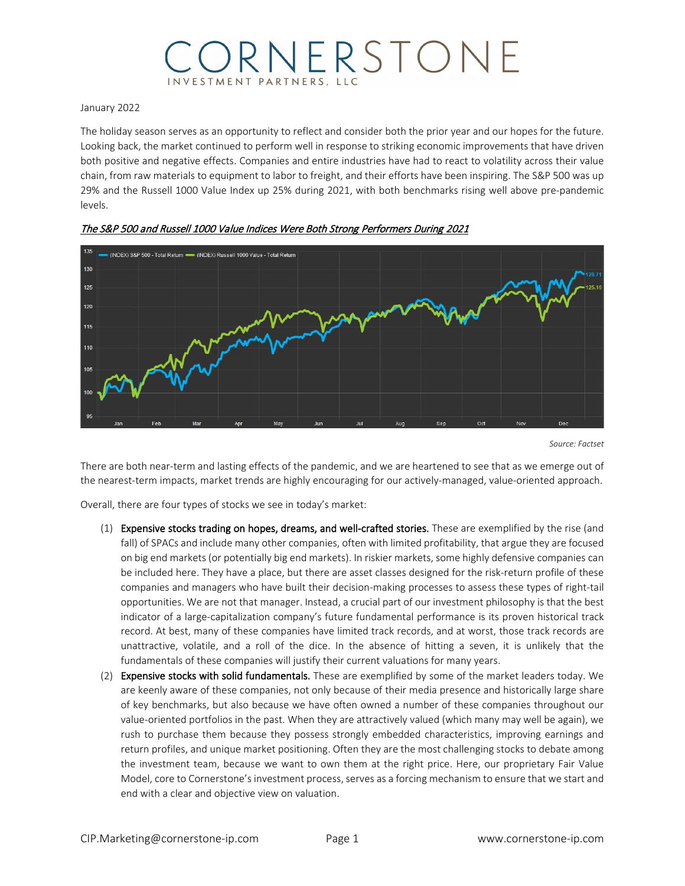# ORNERSTONE **ESTMENT PARTNERS.**

#### January 2022

The holiday season serves as an opportunity to reflect and consider both the prior year and our hopes for the future. Looking back, the market continued to perform well in response to striking economic improvements that have driven both positive and negative effects. Companies and entire industries have had to react to volatility across their value chain, from raw materials to equipment to labor to freight, and their efforts have been inspiring. The S&P 500 was up 29% and the Russell 1000 Value Index up 25% during 2021, with both benchmarks rising well above pre-pandemic levels.





*Source: Factset*

There are both near-term and lasting effects of the pandemic, and we are heartened to see that as we emerge out of the nearest-term impacts, market trends are highly encouraging for our actively-managed, value-oriented approach.

Overall, there are four types of stocks we see in today's market:

- (1) Expensive stocks trading on hopes, dreams, and well-crafted stories. These are exemplified by the rise (and fall) of SPACs and include many other companies, often with limited profitability, that argue they are focused on big end markets (or potentially big end markets). In riskier markets, some highly defensive companies can be included here. They have a place, but there are asset classes designed for the risk-return profile of these companies and managers who have built their decision-making processes to assess these types of right-tail opportunities. We are not that manager. Instead, a crucial part of our investment philosophy is that the best indicator of a large-capitalization company's future fundamental performance is its proven historical track record. At best, many of these companies have limited track records, and at worst, those track records are unattractive, volatile, and a roll of the dice. In the absence of hitting a seven, it is unlikely that the fundamentals of these companies will justify their current valuations for many years.
- (2) Expensive stocks with solid fundamentals. These are exemplified by some of the market leaders today. We are keenly aware of these companies, not only because of their media presence and historically large share of key benchmarks, but also because we have often owned a number of these companies throughout our value-oriented portfolios in the past. When they are attractively valued (which many may well be again), we rush to purchase them because they possess strongly embedded characteristics, improving earnings and return profiles, and unique market positioning. Often they are the most challenging stocks to debate among the investment team, because we want to own them at the right price. Here, our proprietary Fair Value Model, core to Cornerstone's investment process, serves as a forcing mechanism to ensure that we start and end with a clear and objective view on valuation.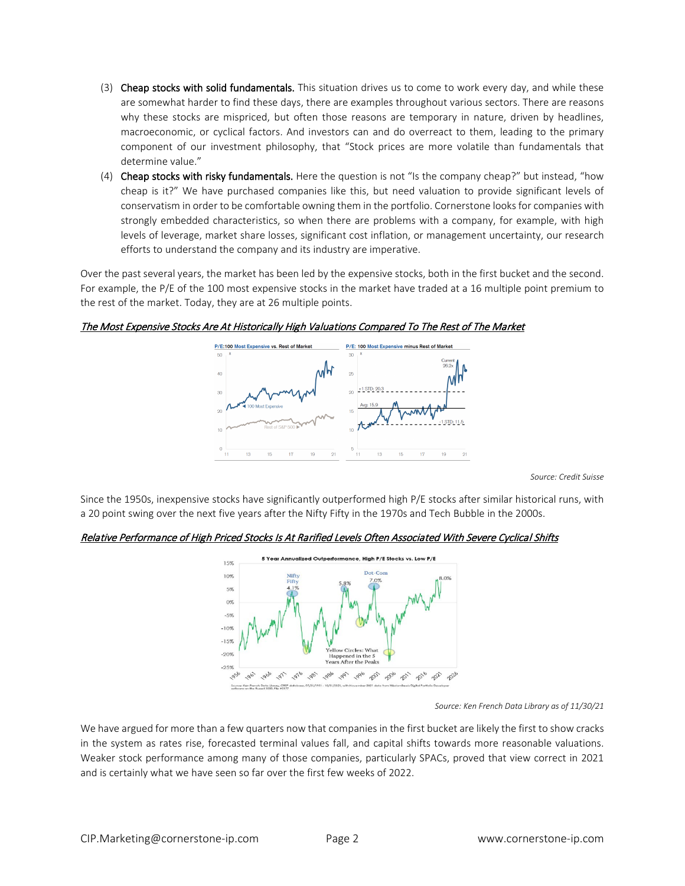- (3) Cheap stocks with solid fundamentals. This situation drives us to come to work every day, and while these are somewhat harder to find these days, there are examples throughout various sectors. There are reasons why these stocks are mispriced, but often those reasons are temporary in nature, driven by headlines, macroeconomic, or cyclical factors. And investors can and do overreact to them, leading to the primary component of our investment philosophy, that "Stock prices are more volatile than fundamentals that determine value."
- (4) Cheap stocks with risky fundamentals. Here the question is not "Is the company cheap?" but instead, "how cheap is it?" We have purchased companies like this, but need valuation to provide significant levels of conservatism in order to be comfortable owning them in the portfolio. Cornerstone looks for companies with strongly embedded characteristics, so when there are problems with a company, for example, with high levels of leverage, market share losses, significant cost inflation, or management uncertainty, our research efforts to understand the company and its industry are imperative.

Over the past several years, the market has been led by the expensive stocks, both in the first bucket and the second. For example, the P/E of the 100 most expensive stocks in the market have traded at a 16 multiple point premium to the rest of the market. Today, they are at 26 multiple points.

### The Most Expensive Stocks Are At Historically High Valuations Compared To The Rest of The Market



*Source: Credit Suisse*

Since the 1950s, inexpensive stocks have significantly outperformed high P/E stocks after similar historical runs, with a 20 point swing over the next five years after the Nifty Fifty in the 1970s and Tech Bubble in the 2000s.

### Relative Performance of High Priced Stocks Is At Rarified Levels Often Associated With Severe Cyclical Shifts



*Source: Ken French Data Library as of 11/30/21*

We have argued for more than a few quarters now that companies in the first bucket are likely the first to show cracks in the system as rates rise, forecasted terminal values fall, and capital shifts towards more reasonable valuations. Weaker stock performance among many of those companies, particularly SPACs, proved that view correct in 2021 and is certainly what we have seen so far over the first few weeks of 2022.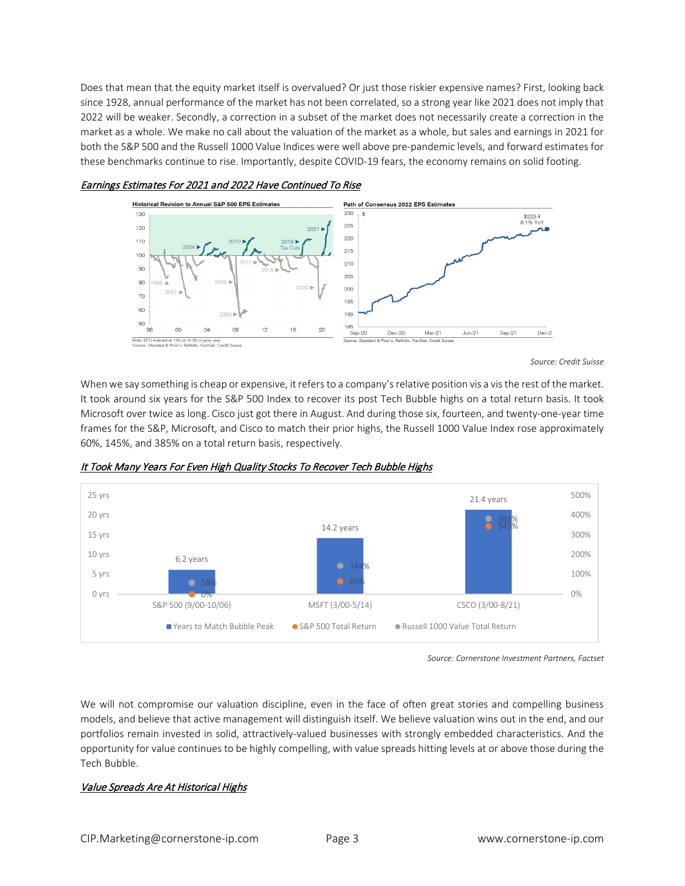Does that mean that the equity market itself is overvalued? Or just those riskier expensive names? First, looking back since 1928, annual performance of the market has not been correlated, so a strong year like 2021 does not imply that 2022 will be weaker. Secondly, a correction in a subset of the market does not necessarily create a correction in the market as a whole. We make no call about the valuation of the market as a whole, but sales and earnings in 2021 for both the S&P 500 and the Russell 1000 Value Indices were well above pre-pandemic levels, and forward estimates for these benchmarks continue to rise. Importantly, despite COVID-19 fears, the economy remains on solid footing.



#### Earnings Estimates For 2021 and 2022 Have Continued To Rise



When we say something is cheap or expensive, it refers to a company's relative position vis a vis the rest of the market. It took around six years for the S&P 500 Index to recover its post Tech Bubble highs on a total return basis. It took Microsoft over twice as long. Cisco just got there in August. And during those six, fourteen, and twenty-one-year time frames for the S&P, Microsoft, and Cisco to match their prior highs, the Russell 1000 Value Index rose approximately 60%, 145%, and 385% on a total return basis, respectively.



It Took Many Years For Even High Quality Stocks To Recover Tech Bubble Highs

*Source: Cornerstone Investment Partners, Factset*

We will not compromise our valuation discipline, even in the face of often great stories and compelling business models, and believe that active management will distinguish itself. We believe valuation wins out in the end, and our portfolios remain invested in solid, attractively-valued businesses with strongly embedded characteristics. And the opportunity for value continues to be highly compelling, with value spreads hitting levels at or above those during the Tech Bubble.

## Value Spreads Are At Historical Highs